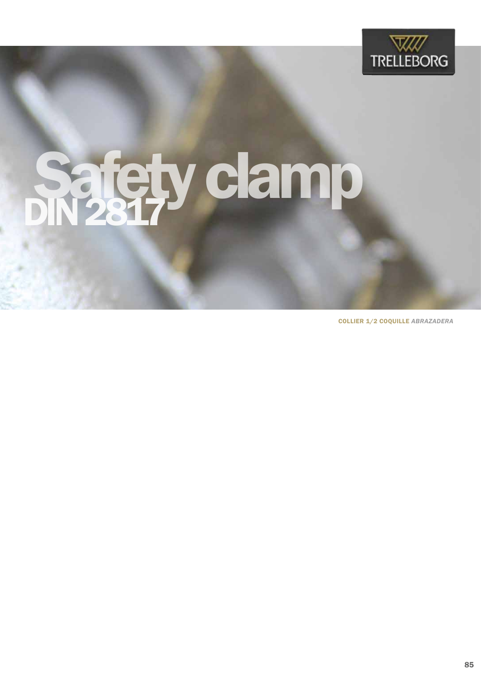

## Sajety clamp

SAFETY CLAMP COLLIER 1/2 COQUILLE *ABRAZADERA*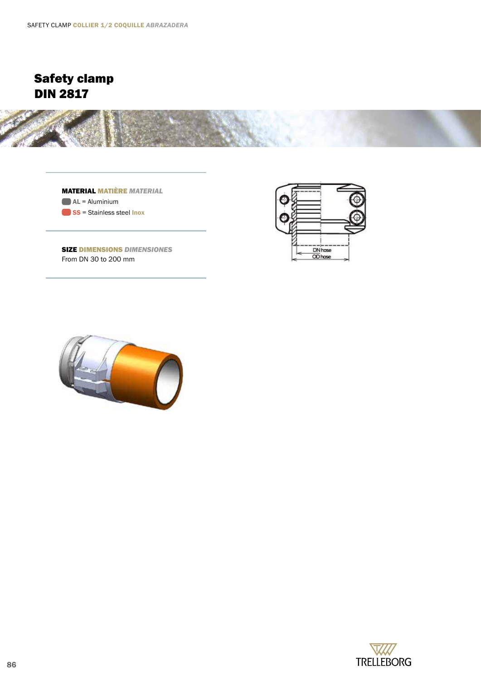

MATERIAL MATIÈRE *MATERIAL*  $AL =$  Aluminium SS = Stainless steel Inox



SIZE DIMENSIONS *DIMENSIONES* From DN 30 to 200 mm



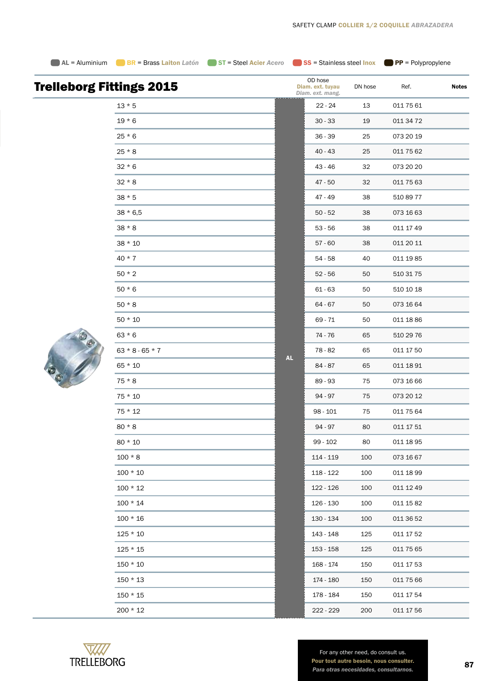**AL = Aluminium** BR = Brass Laiton *Latón* ST = Steel Acier *Acero* SS = Stainless steel Inox PP = Polypropylene

|  | $19 * 6$          |  |
|--|-------------------|--|
|  | $25 * 6$          |  |
|  | $25 * 8$          |  |
|  | $32 * 6$          |  |
|  | $32 * 8$          |  |
|  | $38 * 5$          |  |
|  | $38 * 6,5$        |  |
|  | $38 * 8$          |  |
|  | 38 * 10           |  |
|  | $40 * 7$          |  |
|  | $50 * 2$          |  |
|  | $50 * 6$          |  |
|  | $50 * 8$          |  |
|  | $50 * 10$         |  |
|  | $63 * 6$          |  |
|  | $63 * 8 - 65 * 7$ |  |
|  | $65 * 10$         |  |
|  | $75 * 8$          |  |
|  | $75 * 10$         |  |
|  | 75 * 12           |  |

Trelleborg Fittings 2015

 $13 * 5$ 

| lings 2015        |           | OD hose<br>Diam. ext. tuyau<br>Diam. ext. mang. | DN hose | Ref.      | <b>Notes</b> |
|-------------------|-----------|-------------------------------------------------|---------|-----------|--------------|
| $13 * 5$          |           | $22 - 24$                                       | 13      | 011 75 61 |              |
| $19 * 6$          |           | $30 - 33$                                       | 19      | 011 34 72 |              |
| 25 * 6            |           | $36 - 39$                                       | 25      | 073 20 19 |              |
| 25 * 8            |           | 40 - 43                                         | 25      | 011 75 62 |              |
| $32 * 6$          |           | 43 - 46                                         | 32      | 073 20 20 |              |
| $32 * 8$          |           | $47 - 50$                                       | 32      | 011 75 63 |              |
| 38 * 5            |           | 47 - 49                                         | 38      | 510 89 77 |              |
| 38 * 6,5          |           | $50 - 52$                                       | 38      | 073 16 63 |              |
| $38 * 8$          |           | $53 - 56$                                       | 38      | 011 17 49 |              |
| 38 * 10           |           | $57 - 60$                                       | 38      | 011 20 11 |              |
| 40 * 7            |           | $54 - 58$                                       | 40      | 011 19 85 |              |
| 50 * 2            |           | $52 - 56$                                       | 50      | 510 31 75 |              |
| 50 * 6            |           | $61 - 63$                                       | 50      | 510 10 18 |              |
| $50 * 8$          |           | 64 - 67                                         | 50      | 073 16 64 |              |
| $50 * 10$         |           | 69 - 71                                         | 50      | 011 18 86 |              |
| $63 * 6$          |           | 74 - 76                                         | 65      | 510 29 76 |              |
| $63 * 8 - 65 * 7$ |           | 78 - 82                                         | 65      | 011 17 50 |              |
| 65 * 10           | <b>AL</b> | $84 - 87$                                       | 65      | 011 18 91 |              |
| 75 * 8            |           | 89 - 93                                         | 75      | 073 16 66 |              |
| 75 * 10           |           | 94 - 97                                         | 75      | 073 20 12 |              |
| $75 * 12$         |           | $98 - 101$                                      | 75      | 011 75 64 |              |
| $80 * 8$          |           | 94 - 97                                         | 80      | 011 17 51 |              |
| 80 * 10           |           | $99 - 102$                                      | 80      | 011 18 95 |              |
| $100 * 8$         |           | 114 - 119                                       | 100     | 073 16 67 |              |
| $100 * 10$        |           | 118 - 122                                       | 100     | 011 18 99 |              |
| $100 * 12$        |           | 122 - 126                                       | 100     | 011 12 49 |              |
| $100 * 14$        |           | 126 - 130                                       | 100     | 011 15 82 |              |
| $100 * 16$        |           | 130 - 134                                       | 100     | 011 36 52 |              |
| $125 * 10$        |           | 143 - 148                                       | 125     | 011 17 52 |              |
| 125 * 15          |           | 153 - 158                                       | 125     | 011 75 65 |              |
| 150 * 10          |           | 168 - 174                                       | 150     | 011 17 53 |              |
| 150 * 13          |           | 174 - 180                                       | 150     | 011 75 66 |              |
| 150 * 15          |           | 178 - 184                                       | 150     | 011 17 54 |              |
| 200 * 12          |           | 222 - 229                                       | 200     | 011 17 56 |              |
|                   |           |                                                 |         |           |              |